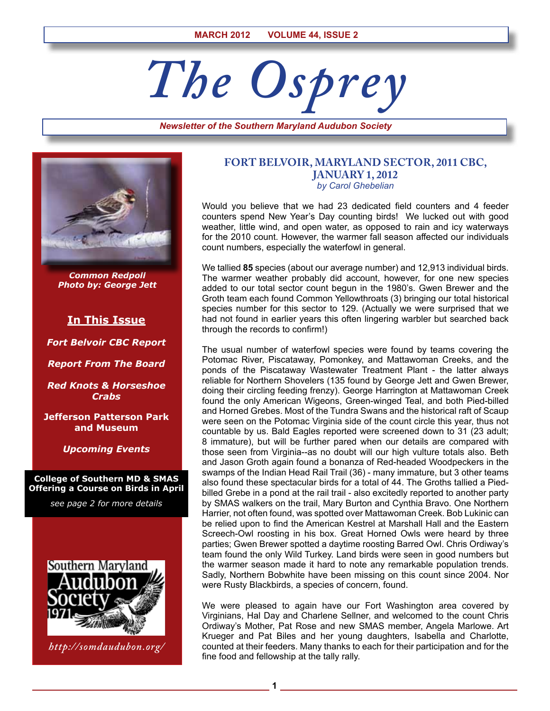# *The Osprey*

*Newsletter of the Southern Maryland Audubon Society*



*Common Redpoll Photo by: George Jett*

# **In This Issue**

*Fort Belvoir CBC Report*

*Report From The Board*

*Red Knots & Horseshoe Crabs*

**Jefferson Patterson Park and Museum**

*Upcoming Events*

**College of Southern MD & SMAS Offering a Course on Birds in April**

*see page 2 for more details*



*http://somdaudubon.org/*

#### **FORT BELVOIR, MARYLAND SECTOR, 2011 CBC, JANUARY 1, 2012** *by Carol Ghebelian*

Would you believe that we had 23 dedicated field counters and 4 feeder counters spend New Year's Day counting birds! We lucked out with good weather, little wind, and open water, as opposed to rain and icy waterways for the 2010 count. However, the warmer fall season affected our individuals count numbers, especially the waterfowl in general.

We tallied **85** species (about our average number) and 12,913 individual birds. The warmer weather probably did account, however, for one new species added to our total sector count begun in the 1980's. Gwen Brewer and the Groth team each found Common Yellowthroats (3) bringing our total historical species number for this sector to 129. (Actually we were surprised that we had not found in earlier years this often lingering warbler but searched back through the records to confirm!)

The usual number of waterfowl species were found by teams covering the Potomac River, Piscataway, Pomonkey, and Mattawoman Creeks, and the ponds of the Piscataway Wastewater Treatment Plant - the latter always reliable for Northern Shovelers (135 found by George Jett and Gwen Brewer, doing their circling feeding frenzy). George Harrington at Mattawoman Creek found the only American Wigeons, Green-winged Teal, and both Pied-billed and Horned Grebes. Most of the Tundra Swans and the historical raft of Scaup were seen on the Potomac Virginia side of the count circle this year, thus not countable by us. Bald Eagles reported were screened down to 31 (23 adult; 8 immature), but will be further pared when our details are compared with those seen from Virginia--as no doubt will our high vulture totals also. Beth and Jason Groth again found a bonanza of Red-headed Woodpeckers in the swamps of the Indian Head Rail Trail (36) - many immature, but 3 other teams also found these spectacular birds for a total of 44. The Groths tallied a Piedbilled Grebe in a pond at the rail trail - also excitedly reported to another party by SMAS walkers on the trail, Mary Burton and Cynthia Bravo. One Northern Harrier, not often found, was spotted over Mattawoman Creek. Bob Lukinic can be relied upon to find the American Kestrel at Marshall Hall and the Eastern Screech-Owl roosting in his box. Great Horned Owls were heard by three parties; Gwen Brewer spotted a daytime roosting Barred Owl. Chris Ordiway's team found the only Wild Turkey. Land birds were seen in good numbers but the warmer season made it hard to note any remarkable population trends. Sadly, Northern Bobwhite have been missing on this count since 2004. Nor were Rusty Blackbirds, a species of concern, found.

We were pleased to again have our Fort Washington area covered by Virginians, Hal Day and Charlene Sellner, and welcomed to the count Chris Ordiway's Mother, Pat Rose and new SMAS member, Angela Marlowe. Art Krueger and Pat Biles and her young daughters, Isabella and Charlotte, counted at their feeders. Many thanks to each for their participation and for the fine food and fellowship at the tally rally.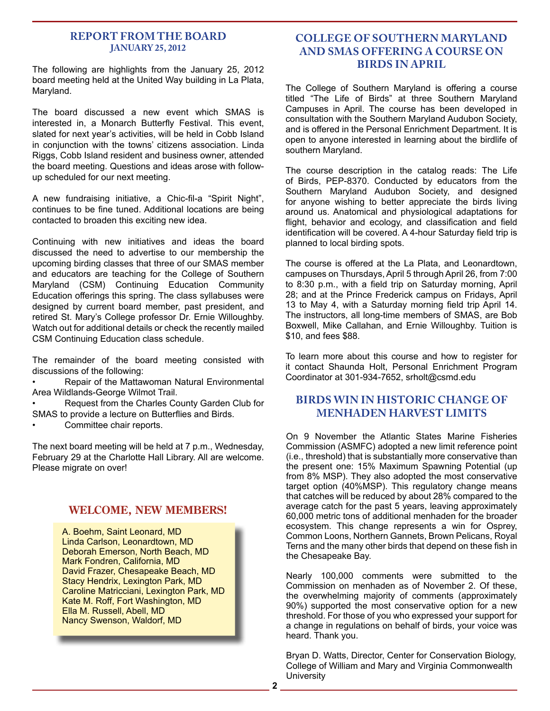#### **REPORT FROM THE BOARD January 25, 2012**

The following are highlights from the January 25, 2012 board meeting held at the United Way building in La Plata, Maryland.

The board discussed a new event which SMAS is interested in, a Monarch Butterfly Festival. This event, slated for next year's activities, will be held in Cobb Island in conjunction with the towns' citizens association. Linda Riggs, Cobb Island resident and business owner, attended the board meeting. Questions and ideas arose with followup scheduled for our next meeting.

A new fundraising initiative, a Chic-fil-a "Spirit Night", continues to be fine tuned. Additional locations are being contacted to broaden this exciting new idea.

Continuing with new initiatives and ideas the board discussed the need to advertise to our membership the upcoming birding classes that three of our SMAS member and educators are teaching for the College of Southern Maryland (CSM) Continuing Education Community Education offerings this spring. The class syllabuses were designed by current board member, past president, and retired St. Mary's College professor Dr. Ernie Willoughby. Watch out for additional details or check the recently mailed CSM Continuing Education class schedule.

The remainder of the board meeting consisted with discussions of the following:

Repair of the Mattawoman Natural Environmental Area Wildlands-George Wilmot Trail.

- Request from the Charles County Garden Club for SMAS to provide a lecture on Butterflies and Birds.
- Committee chair reports.

The next board meeting will be held at 7 p.m., Wednesday, February 29 at the Charlotte Hall Library. All are welcome. Please migrate on over!

# **WELCOME, NEW MEMBERS!**

A. Boehm, Saint Leonard, MD Linda Carlson, Leonardtown, MD Deborah Emerson, North Beach, MD Mark Fondren, California, MD David Frazer, Chesapeake Beach, MD Stacy Hendrix, Lexington Park, MD Caroline Matricciani, Lexington Park, MD Kate M. Roff, Fort Washington, MD Ella M. Russell, Abell, MD Nancy Swenson, Waldorf, MD

# **COLLEGE OF SOUTHERN MARYLAND AND SMAS OFFERING A COURSE ON BIRDS IN APRIL**

The College of Southern Maryland is offering a course titled "The Life of Birds" at three Southern Maryland Campuses in April. The course has been developed in consultation with the Southern Maryland Audubon Society, and is offered in the Personal Enrichment Department. It is open to anyone interested in learning about the birdlife of southern Maryland.

The course description in the catalog reads: The Life of Birds, PEP-8370. Conducted by educators from the Southern Maryland Audubon Society, and designed for anyone wishing to better appreciate the birds living around us. Anatomical and physiological adaptations for flight, behavior and ecology, and classification and field identification will be covered. A 4-hour Saturday field trip is planned to local birding spots.

The course is offered at the La Plata, and Leonardtown, campuses on Thursdays, April 5 through April 26, from 7:00 to 8:30 p.m., with a field trip on Saturday morning, April 28; and at the Prince Frederick campus on Fridays, April 13 to May 4, with a Saturday morning field trip April 14. The instructors, all long-time members of SMAS, are Bob Boxwell, Mike Callahan, and Ernie Willoughby. Tuition is \$10, and fees \$88.

To learn more about this course and how to register for it contact Shaunda Holt, Personal Enrichment Program Coordinator at 301-934-7652, srholt@csmd.edu

### **Birds Win In Historic Change Of Menhaden Harvest Limits**

On 9 November the Atlantic States Marine Fisheries Commission (ASMFC) adopted a new limit reference point (i.e., threshold) that is substantially more conservative than the present one: 15% Maximum Spawning Potential (up from 8% MSP). They also adopted the most conservative target option (40%MSP). This regulatory change means that catches will be reduced by about 28% compared to the average catch for the past 5 years, leaving approximately 60,000 metric tons of additional menhaden for the broader ecosystem. This change represents a win for Osprey, Common Loons, Northern Gannets, Brown Pelicans, Royal Terns and the many other birds that depend on these fish in the Chesapeake Bay.

Nearly 100,000 comments were submitted to the Commission on menhaden as of November 2. Of these, the overwhelming majority of comments (approximately 90%) supported the most conservative option for a new threshold. For those of you who expressed your support for a change in regulations on behalf of birds, your voice was heard. Thank you.

Bryan D. Watts, Director, Center for Conservation Biology, College of William and Mary and Virginia Commonwealth **University**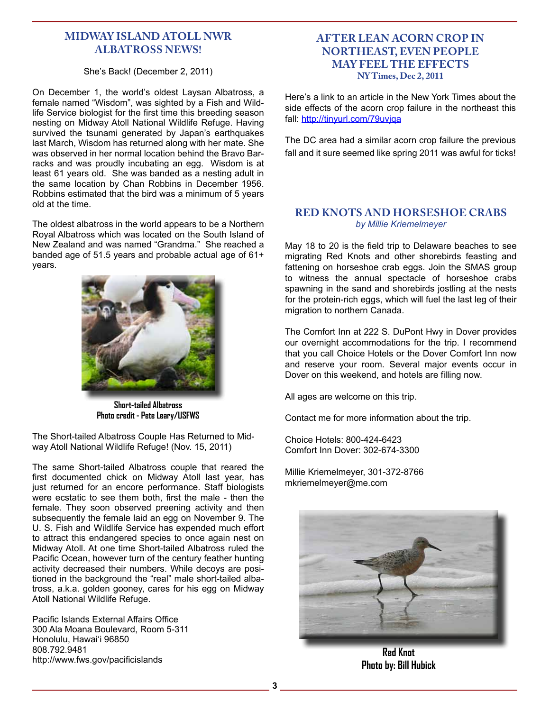# **Midway Island Atoll NWR Albatross News!**

#### She's Back! (December 2, 2011)

On December 1, the world's oldest Laysan Albatross, a female named "Wisdom", was sighted by a Fish and Wildlife Service biologist for the first time this breeding season nesting on Midway Atoll National Wildlife Refuge. Having survived the tsunami generated by Japan's earthquakes last March, Wisdom has returned along with her mate. She was observed in her normal location behind the Bravo Barracks and was proudly incubating an egg. Wisdom is at least 61 years old. She was banded as a nesting adult in the same location by Chan Robbins in December 1956. Robbins estimated that the bird was a minimum of 5 years old at the time.

The oldest albatross in the world appears to be a Northern Royal Albatross which was located on the South Island of New Zealand and was named "Grandma." She reached a banded age of 51.5 years and probable actual age of 61+ years.



**Short-tailed Albatross Photo credit - Pete Leary/USFWS**

The Short-tailed Albatross Couple Has Returned to Midway Atoll National Wildlife Refuge! (Nov. 15, 2011)

The same Short-tailed Albatross couple that reared the first documented chick on Midway Atoll last year, has just returned for an encore performance. Staff biologists were ecstatic to see them both, first the male - then the female. They soon observed preening activity and then subsequently the female laid an egg on November 9. The U. S. Fish and Wildlife Service has expended much effort to attract this endangered species to once again nest on Midway Atoll. At one time Short-tailed Albatross ruled the Pacific Ocean, however turn of the century feather hunting activity decreased their numbers. While decoys are positioned in the background the "real" male short-tailed albatross, a.k.a. golden gooney, cares for his egg on Midway Atoll National Wildlife Refuge.

Pacific Islands External Affairs Office 300 Ala Moana Boulevard, Room 5-311 Honolulu, Hawai'i 96850 808.792.9481 http://www.fws.gov/pacificislands

#### **After Lean Acorn Crop in Northeast, Even People May Feel the Effects NY Times, Dec 2, 2011**

Here's a link to an article in the New York Times about the side effects of the acorn crop failure in the northeast this fall: http://tinyurl.com/79uvjqa

The DC area had a similar acorn crop failure the previous fall and it sure seemed like spring 2011 was awful for ticks!

#### **Red Knots and Horseshoe Crabs** *by Millie Kriemelmeyer*

May 18 to 20 is the field trip to Delaware beaches to see migrating Red Knots and other shorebirds feasting and fattening on horseshoe crab eggs. Join the SMAS group to witness the annual spectacle of horseshoe crabs spawning in the sand and shorebirds jostling at the nests for the protein-rich eggs, which will fuel the last leg of their migration to northern Canada.

The Comfort Inn at 222 S. DuPont Hwy in Dover provides our overnight accommodations for the trip. I recommend that you call Choice Hotels or the Dover Comfort Inn now and reserve your room. Several major events occur in Dover on this weekend, and hotels are filling now.

All ages are welcome on this trip.

Contact me for more information about the trip.

Choice Hotels: 800-424-6423 Comfort Inn Dover: 302-674-3300

Millie Kriemelmeyer, 301-372-8766 mkriemelmeyer@me.com



**Red Knot Photo by: Bill Hubick**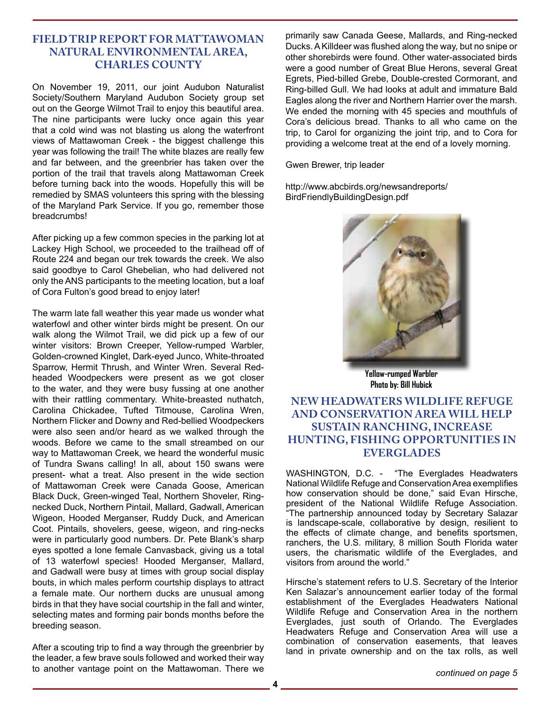# **Field Trip Report for Mattawoman Natural Environmental Area, Charles County**

On November 19, 2011, our joint Audubon Naturalist Society/Southern Maryland Audubon Society group set out on the George Wilmot Trail to enjoy this beautiful area. The nine participants were lucky once again this year that a cold wind was not blasting us along the waterfront views of Mattawoman Creek - the biggest challenge this year was following the trail! The white blazes are really few and far between, and the greenbrier has taken over the portion of the trail that travels along Mattawoman Creek before turning back into the woods. Hopefully this will be remedied by SMAS volunteers this spring with the blessing of the Maryland Park Service. If you go, remember those breadcrumbs!

After picking up a few common species in the parking lot at Lackey High School, we proceeded to the trailhead off of Route 224 and began our trek towards the creek. We also said goodbye to Carol Ghebelian, who had delivered not only the ANS participants to the meeting location, but a loaf of Cora Fulton's good bread to enjoy later!

The warm late fall weather this year made us wonder what waterfowl and other winter birds might be present. On our walk along the Wilmot Trail, we did pick up a few of our winter visitors: Brown Creeper, Yellow-rumped Warbler, Golden-crowned Kinglet, Dark-eyed Junco, White-throated Sparrow, Hermit Thrush, and Winter Wren. Several Redheaded Woodpeckers were present as we got closer to the water, and they were busy fussing at one another with their rattling commentary. White-breasted nuthatch, Carolina Chickadee, Tufted Titmouse, Carolina Wren, Northern Flicker and Downy and Red-bellied Woodpeckers were also seen and/or heard as we walked through the woods. Before we came to the small streambed on our way to Mattawoman Creek, we heard the wonderful music of Tundra Swans calling! In all, about 150 swans were present- what a treat. Also present in the wide section of Mattawoman Creek were Canada Goose, American Black Duck, Green-winged Teal, Northern Shoveler, Ringnecked Duck, Northern Pintail, Mallard, Gadwall, American Wigeon, Hooded Merganser, Ruddy Duck, and American Coot. Pintails, shovelers, geese, wigeon, and ring-necks were in particularly good numbers. Dr. Pete Blank's sharp eyes spotted a lone female Canvasback, giving us a total of 13 waterfowl species! Hooded Merganser, Mallard, and Gadwall were busy at times with group social display bouts, in which males perform courtship displays to attract a female mate. Our northern ducks are unusual among birds in that they have social courtship in the fall and winter, selecting mates and forming pair bonds months before the breeding season.

After a scouting trip to find a way through the greenbrier by the leader, a few brave souls followed and worked their way to another vantage point on the Mattawoman. There we

primarily saw Canada Geese, Mallards, and Ring-necked Ducks. A Killdeer was flushed along the way, but no snipe or other shorebirds were found. Other water-associated birds were a good number of Great Blue Herons, several Great Egrets, Pied-billed Grebe, Double-crested Cormorant, and Ring-billed Gull. We had looks at adult and immature Bald Eagles along the river and Northern Harrier over the marsh. We ended the morning with 45 species and mouthfuls of Cora's delicious bread. Thanks to all who came on the trip, to Carol for organizing the joint trip, and to Cora for providing a welcome treat at the end of a lovely morning.

Gwen Brewer, trip leader

http://www.abcbirds.org/newsandreports/ BirdFriendlyBuildingDesign.pdf



**Yellow-rumped Warbler Photo by: Bill Hubick**

# **NEW HEADWATERS WILDLIFE REFUGE AND CONSERVATION AREA WILL HELP SUSTAIN RANCHING, INCREASE HUNTING, FISHING OPPORTUNITIES IN EVERGLADES**

WASHINGTON, D.C. - "The Everglades Headwaters National Wildlife Refuge and Conservation Area exemplifies how conservation should be done," said Evan Hirsche, president of the National Wildlife Refuge Association. "The partnership announced today by Secretary Salazar is landscape-scale, collaborative by design, resilient to the effects of climate change, and benefits sportsmen, ranchers, the U.S. military, 8 million South Florida water users, the charismatic wildlife of the Everglades, and visitors from around the world."

Hirsche's statement refers to U.S. Secretary of the Interior Ken Salazar's announcement earlier today of the formal establishment of the Everglades Headwaters National Wildlife Refuge and Conservation Area in the northern Everglades, just south of Orlando. The Everglades Headwaters Refuge and Conservation Area will use a combination of conservation easements, that leaves land in private ownership and on the tax rolls, as well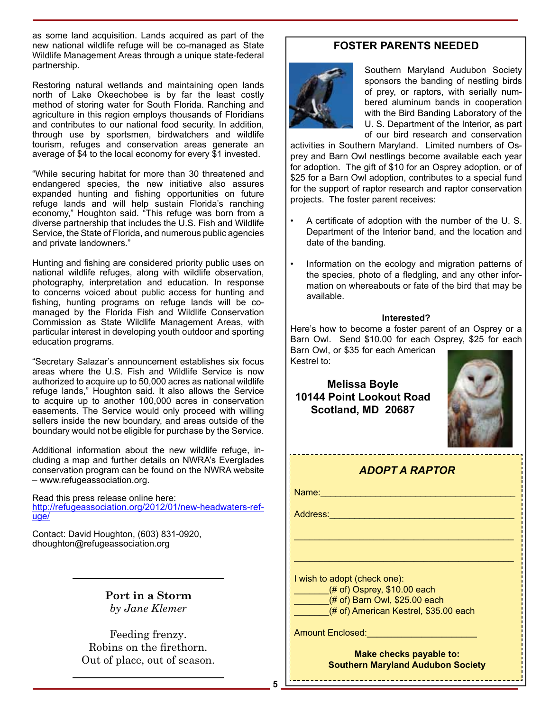as some land acquisition. Lands acquired as part of the new national wildlife refuge will be co-managed as State Wildlife Management Areas through a unique state-federal partnership.

Restoring natural wetlands and maintaining open lands north of Lake Okeechobee is by far the least costly method of storing water for South Florida. Ranching and agriculture in this region employs thousands of Floridians and contributes to our national food security. In addition, through use by sportsmen, birdwatchers and wildlife tourism, refuges and conservation areas generate an average of \$4 to the local economy for every \$1 invested.

"While securing habitat for more than 30 threatened and endangered species, the new initiative also assures expanded hunting and fishing opportunities on future refuge lands and will help sustain Florida's ranching economy," Houghton said. "This refuge was born from a diverse partnership that includes the U.S. Fish and Wildlife Service, the State of Florida, and numerous public agencies and private landowners."

Hunting and fishing are considered priority public uses on national wildlife refuges, along with wildlife observation, photography, interpretation and education. In response to concerns voiced about public access for hunting and fishing, hunting programs on refuge lands will be comanaged by the Florida Fish and Wildlife Conservation Commission as State Wildlife Management Areas, with particular interest in developing youth outdoor and sporting education programs.

"Secretary Salazar's announcement establishes six focus areas where the U.S. Fish and Wildlife Service is now authorized to acquire up to 50,000 acres as national wildlife refuge lands," Houghton said. It also allows the Service to acquire up to another 100,000 acres in conservation easements. The Service would only proceed with willing sellers inside the new boundary, and areas outside of the boundary would not be eligible for purchase by the Service.

Additional information about the new wildlife refuge, including a map and further details on NWRA's Everglades conservation program can be found on the NWRA website – www.refugeassociation.org.

Read this press release online here: http://refugeassociation.org/2012/01/new-headwaters-refuge/

Contact: David Houghton, (603) 831-0920, dhoughton@refugeassociation.org

> **Port in a Storm** *by Jane Klemer*

Feeding frenzy. Robins on the firethorn. Out of place, out of season.

# **FOSTER PARENTS NEEDED**



Southern Maryland Audubon Society sponsors the banding of nestling birds of prey, or raptors, with serially numbered aluminum bands in cooperation with the Bird Banding Laboratory of the U. S. Department of the Interior, as part of our bird research and conservation

activities in Southern Maryland. Limited numbers of Osprey and Barn Owl nestlings become available each year for adoption. The gift of \$10 for an Osprey adoption, or of \$25 for a Barn Owl adoption, contributes to a special fund for the support of raptor research and raptor conservation projects. The foster parent receives:

- A certificate of adoption with the number of the U. S. Department of the Interior band, and the location and date of the banding.
- Information on the ecology and migration patterns of the species, photo of a fledgling, and any other information on whereabouts or fate of the bird that may be available.

#### **Interested?**

Here's how to become a foster parent of an Osprey or a Barn Owl. Send \$10.00 for each Osprey, \$25 for each Barn Owl, or \$35 for each American Kestrel to:

**Melissa Boyle 10144 Point Lookout Road Scotland, MD 20687**



# *ADOPT A RAPTOR*

\_\_\_\_\_\_\_\_\_\_\_\_\_\_\_\_\_\_\_\_\_\_\_\_\_\_\_\_\_\_\_\_\_\_\_\_\_\_\_\_\_\_\_\_

\_\_\_\_\_\_\_\_\_\_\_\_\_\_\_\_\_\_\_\_\_\_\_\_\_\_\_\_\_\_\_\_\_\_\_\_\_\_\_\_\_\_\_\_

Name:\_\_\_\_\_\_\_\_\_\_\_\_\_\_\_\_\_\_\_\_\_\_\_\_\_\_\_\_\_\_\_\_\_\_\_\_\_\_\_

Address:

I wish to adopt (check one):

 $(\#$  of) Osprey, \$10.00 each

\_\_\_\_\_\_\_(# of) Barn Owl, \$25.00 each

(# of) American Kestrel, \$35.00 each

Amount Enclosed:

**Make checks payable to: Southern Maryland Audubon Society**

-----------------------------------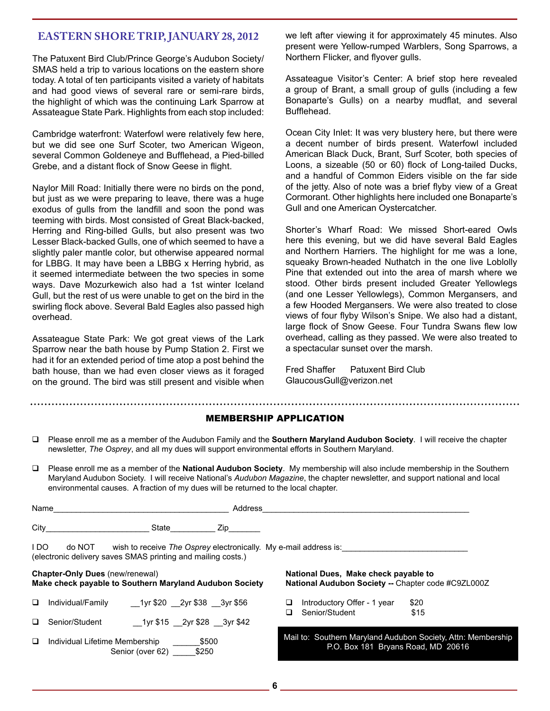# **Eastern Shore Trip, January 28, 2012**

The Patuxent Bird Club/Prince George's Audubon Society/ SMAS held a trip to various locations on the eastern shore today. A total of ten participants visited a variety of habitats and had good views of several rare or semi-rare birds, the highlight of which was the continuing Lark Sparrow at Assateague State Park. Highlights from each stop included:

Cambridge waterfront: Waterfowl were relatively few here, but we did see one Surf Scoter, two American Wigeon, several Common Goldeneye and Bufflehead, a Pied-billed Grebe, and a distant flock of Snow Geese in flight.

Naylor Mill Road: Initially there were no birds on the pond, but just as we were preparing to leave, there was a huge exodus of gulls from the landfill and soon the pond was teeming with birds. Most consisted of Great Black-backed, Herring and Ring-billed Gulls, but also present was two Lesser Black-backed Gulls, one of which seemed to have a slightly paler mantle color, but otherwise appeared normal for LBBG. It may have been a LBBG x Herring hybrid, as it seemed intermediate between the two species in some ways. Dave Mozurkewich also had a 1st winter Iceland Gull, but the rest of us were unable to get on the bird in the swirling flock above. Several Bald Eagles also passed high overhead.

Assateague State Park: We got great views of the Lark Sparrow near the bath house by Pump Station 2. First we had it for an extended period of time atop a post behind the bath house, than we had even closer views as it foraged on the ground. The bird was still present and visible when we left after viewing it for approximately 45 minutes. Also present were Yellow-rumped Warblers, Song Sparrows, a Northern Flicker, and flyover gulls.

Assateague Visitor's Center: A brief stop here revealed a group of Brant, a small group of gulls (including a few Bonaparte's Gulls) on a nearby mudflat, and several Bufflehead.

Ocean City Inlet: It was very blustery here, but there were a decent number of birds present. Waterfowl included American Black Duck, Brant, Surf Scoter, both species of Loons, a sizeable (50 or 60) flock of Long-tailed Ducks, and a handful of Common Eiders visible on the far side of the jetty. Also of note was a brief flyby view of a Great Cormorant. Other highlights here included one Bonaparte's Gull and one American Oystercatcher.

Shorter's Wharf Road: We missed Short-eared Owls here this evening, but we did have several Bald Eagles and Northern Harriers. The highlight for me was a lone, squeaky Brown-headed Nuthatch in the one live Loblolly Pine that extended out into the area of marsh where we stood. Other birds present included Greater Yellowlegs (and one Lesser Yellowlegs), Common Mergansers, and a few Hooded Mergansers. We were also treated to close views of four flyby Wilson's Snipe. We also had a distant, large flock of Snow Geese. Four Tundra Swans flew low overhead, calling as they passed. We were also treated to a spectacular sunset over the marsh.

Fred Shaffer Patuxent Bird Club GlaucousGull@verizon.net

#### MEMBERSHIP APPLICATION

- Please enroll me as a member of the Audubon Family and the **Southern Maryland Audubon Society**. I will receive the chapter newsletter, *The Osprey*, and all my dues will support environmental efforts in Southern Maryland.
- Please enroll me as a member of the **National Audubon Society**. My membership will also include membership in the Southern Maryland Audubon Society. I will receive National's *Audubon Magazine*, the chapter newsletter, and support national and local environmental causes. A fraction of my dues will be returned to the local chapter.

| Name                                                                                                                                            |                                                                      |                            | Address                                                                                    |                                                                                                    |                |                             |              |  |
|-------------------------------------------------------------------------------------------------------------------------------------------------|----------------------------------------------------------------------|----------------------------|--------------------------------------------------------------------------------------------|----------------------------------------------------------------------------------------------------|----------------|-----------------------------|--------------|--|
| City                                                                                                                                            |                                                                      | State<br>Zip               |                                                                                            |                                                                                                    |                |                             |              |  |
| I DO<br>do NOT wish to receive The Osprey electronically. My e-mail address is:<br>(electronic delivery saves SMAS printing and mailing costs.) |                                                                      |                            |                                                                                            |                                                                                                    |                |                             |              |  |
| <b>Chapter-Only Dues (new/renewal)</b><br>Make check payable to Southern Maryland Audubon Society                                               |                                                                      |                            | National Dues, Make check payable to<br>National Audubon Society -- Chapter code #C9ZL000Z |                                                                                                    |                |                             |              |  |
| $\Box$                                                                                                                                          | Individual/Family                                                    | 1yr \$20 2yr \$38 3yr \$56 |                                                                                            | ப                                                                                                  | Senior/Student | Introductory Offer - 1 year | \$20<br>\$15 |  |
| □                                                                                                                                               | Senior/Student                                                       | 1yr \$15 2yr \$28 3yr \$42 |                                                                                            |                                                                                                    |                |                             |              |  |
| □                                                                                                                                               | Individual Lifetime Membership<br>\$500<br>Senior (over 62)<br>\$250 |                            |                                                                                            | Mail to: Southern Maryland Audubon Society, Attn: Membership<br>P.O. Box 181 Bryans Road, MD 20616 |                |                             |              |  |